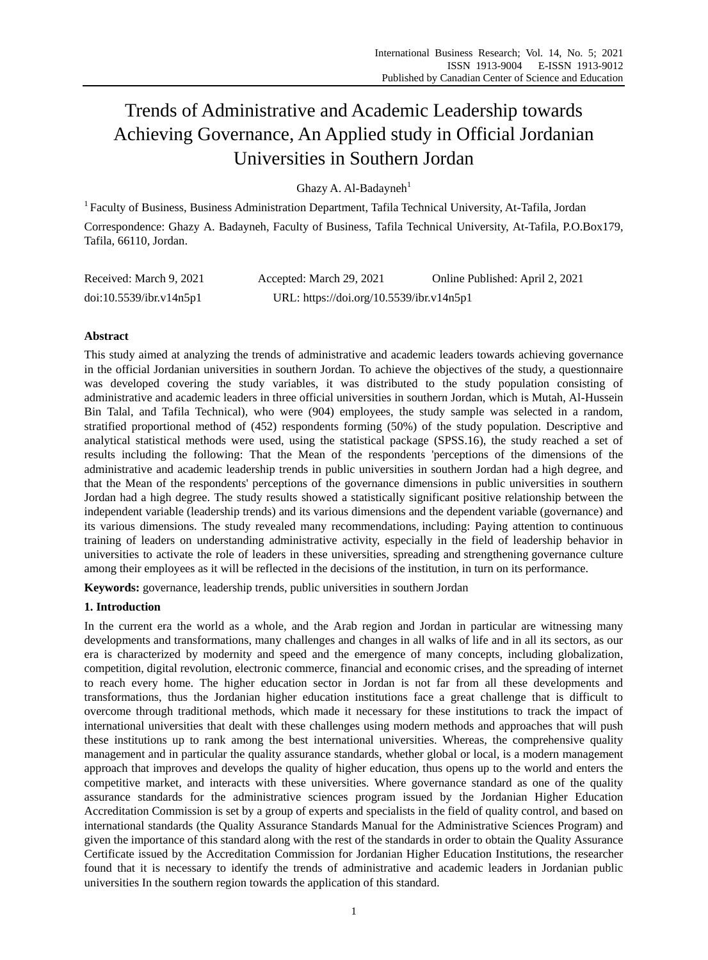# Trends of Administrative and Academic Leadership towards Achieving Governance, An Applied study in Official Jordanian Universities in Southern Jordan

Ghazy A. Al-Badayneh $1$ 

<sup>1</sup>Faculty of Business, Business Administration Department, Tafila Technical University, At-Tafila, Jordan Correspondence: Ghazy A. Badayneh, Faculty of Business, Tafila Technical University, At-Tafila, P.O.Box179, Tafila, 66110, Jordan.

| Received: March 9, 2021 | Accepted: March 29, 2021                 | Online Published: April 2, 2021 |
|-------------------------|------------------------------------------|---------------------------------|
| doi:10.5539/ibr.v14n5p1 | URL: https://doi.org/10.5539/ibr.v14n5p1 |                                 |

# **Abstract**

This study aimed at analyzing the trends of administrative and academic leaders towards achieving governance in the official Jordanian universities in southern Jordan. To achieve the objectives of the study, a questionnaire was developed covering the study variables, it was distributed to the study population consisting of administrative and academic leaders in three official universities in southern Jordan, which is Mutah, Al-Hussein Bin Talal, and Tafila Technical), who were (904) employees, the study sample was selected in a random, stratified proportional method of (452) respondents forming (50%) of the study population. Descriptive and analytical statistical methods were used, using the statistical package (SPSS.16), the study reached a set of results including the following: That the Mean of the respondents 'perceptions of the dimensions of the administrative and academic leadership trends in public universities in southern Jordan had a high degree, and that the Mean of the respondents' perceptions of the governance dimensions in public universities in southern Jordan had a high degree. The study results showed a statistically significant positive relationship between the independent variable (leadership trends) and its various dimensions and the dependent variable (governance) and its various dimensions. The study revealed many recommendations, including: Paying attention to continuous training of leaders on understanding administrative activity, especially in the field of leadership behavior in universities to activate the role of leaders in these universities, spreading and strengthening governance culture among their employees as it will be reflected in the decisions of the institution, in turn on its performance.

**Keywords:** governance, leadership trends, public universities in southern Jordan

# **1. Introduction**

In the current era the world as a whole, and the Arab region and Jordan in particular are witnessing many developments and transformations, many challenges and changes in all walks of life and in all its sectors, as our era is characterized by modernity and speed and the emergence of many concepts, including globalization, competition, digital revolution, electronic commerce, financial and economic crises, and the spreading of internet to reach every home. The higher education sector in Jordan is not far from all these developments and transformations, thus the Jordanian higher education institutions face a great challenge that is difficult to overcome through traditional methods, which made it necessary for these institutions to track the impact of international universities that dealt with these challenges using modern methods and approaches that will push these institutions up to rank among the best international universities. Whereas, the comprehensive quality management and in particular the quality assurance standards, whether global or local, is a modern management approach that improves and develops the quality of higher education, thus opens up to the world and enters the competitive market, and interacts with these universities. Where governance standard as one of the quality assurance standards for the administrative sciences program issued by the Jordanian Higher Education Accreditation Commission is set by a group of experts and specialists in the field of quality control, and based on international standards (the Quality Assurance Standards Manual for the Administrative Sciences Program) and given the importance of this standard along with the rest of the standards in order to obtain the Quality Assurance Certificate issued by the Accreditation Commission for Jordanian Higher Education Institutions, the researcher found that it is necessary to identify the trends of administrative and academic leaders in Jordanian public universities In the southern region towards the application of this standard.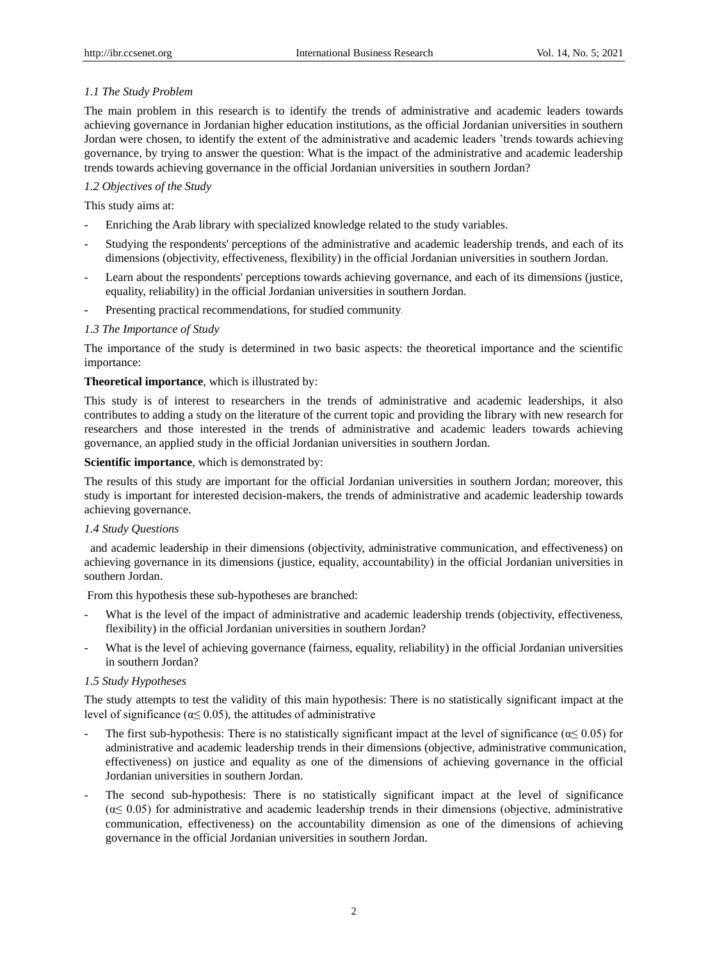# *1.1 The Study Problem*

The main problem in this research is to identify the trends of administrative and academic leaders towards achieving governance in Jordanian higher education institutions, as the official Jordanian universities in southern Jordan were chosen, to identify the extent of the administrative and academic leaders 'trends towards achieving governance, by trying to answer the question: What is the impact of the administrative and academic leadership trends towards achieving governance in the official Jordanian universities in southern Jordan?

# *1.2 Objectives of the Study*

This study aims at:

- Enriching the Arab library with specialized knowledge related to the study variables.
- Studying the respondents' perceptions of the administrative and academic leadership trends, and each of its dimensions (objectivity, effectiveness, flexibility) in the official Jordanian universities in southern Jordan.
- Learn about the respondents' perceptions towards achieving governance, and each of its dimensions (justice, equality, reliability) in the official Jordanian universities in southern Jordan.
- Presenting practical recommendations, for studied community.

# *1.3 The Importance of Study*

The importance of the study is determined in two basic aspects: the theoretical importance and the scientific importance:

## **Theoretical importance**, which is illustrated by:

This study is of interest to researchers in the trends of administrative and academic leaderships, it also contributes to adding a study on the literature of the current topic and providing the library with new research for researchers and those interested in the trends of administrative and academic leaders towards achieving governance, an applied study in the official Jordanian universities in southern Jordan.

## **Scientific importance**, which is demonstrated by:

The results of this study are important for the official Jordanian universities in southern Jordan; moreover, this study is important for interested decision-makers, the trends of administrative and academic leadership towards achieving governance.

## *1.4 Study Questions*

and academic leadership in their dimensions (objectivity, administrative communication, and effectiveness) on achieving governance in its dimensions (justice, equality, accountability) in the official Jordanian universities in southern Jordan.

From this hypothesis these sub-hypotheses are branched:

- What is the level of the impact of administrative and academic leadership trends (objectivity, effectiveness, flexibility) in the official Jordanian universities in southern Jordan?
- What is the level of achieving governance (fairness, equality, reliability) in the official Jordanian universities in southern Jordan?

## *1.5 Study Hypotheses*

The study attempts to test the validity of this main hypothesis: There is no statistically significant impact at the level of significance ( $\alpha \leq 0.05$ ), the attitudes of administrative

- The first sub-hypothesis: There is no statistically significant impact at the level of significance ( $\alpha \leq 0.05$ ) for administrative and academic leadership trends in their dimensions (objective, administrative communication, effectiveness) on justice and equality as one of the dimensions of achieving governance in the official Jordanian universities in southern Jordan.
- The second sub-hypothesis: There is no statistically significant impact at the level of significance  $(\alpha \leq 0.05)$  for administrative and academic leadership trends in their dimensions (objective, administrative communication, effectiveness) on the accountability dimension as one of the dimensions of achieving governance in the official Jordanian universities in southern Jordan.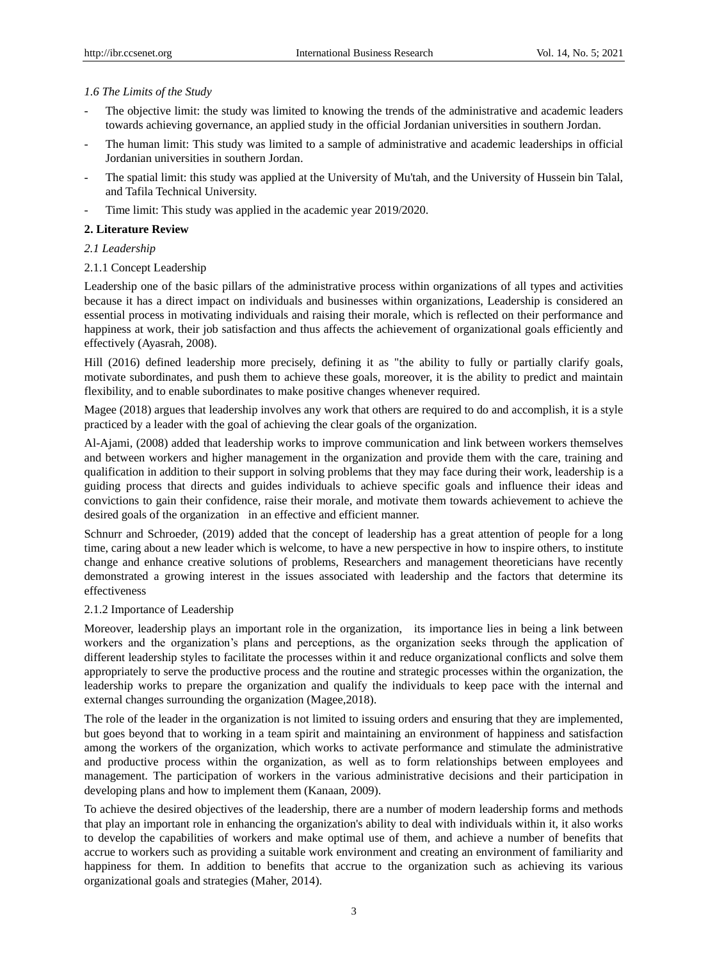## *1.6 The Limits of the Study*

- The objective limit: the study was limited to knowing the trends of the administrative and academic leaders towards achieving governance, an applied study in the official Jordanian universities in southern Jordan.
- The human limit: This study was limited to a sample of administrative and academic leaderships in official Jordanian universities in southern Jordan.
- The spatial limit: this study was applied at the University of Mu'tah, and the University of Hussein bin Talal, and Tafila Technical University.
- Time limit: This study was applied in the academic year 2019/2020.

## **2. Literature Review**

# *2.1 Leadership*

## 2.1.1 Concept Leadership

Leadership one of the basic pillars of the administrative process within organizations of all types and activities because it has a direct impact on individuals and businesses within organizations, Leadership is considered an essential process in motivating individuals and raising their morale, which is reflected on their performance and happiness at work, their job satisfaction and thus affects the achievement of organizational goals efficiently and effectively (Ayasrah, 2008).

Hill (2016) defined leadership more precisely, defining it as "the ability to fully or partially clarify goals, motivate subordinates, and push them to achieve these goals, moreover, it is the ability to predict and maintain flexibility, and to enable subordinates to make positive changes whenever required.

Magee (2018) argues that leadership involves any work that others are required to do and accomplish, it is a style practiced by a leader with the goal of achieving the clear goals of the organization.

Al-Ajami, (2008) added that leadership works to improve communication and link between workers themselves and between workers and higher management in the organization and provide them with the care, training and qualification in addition to their support in solving problems that they may face during their work, leadership is a guiding process that directs and guides individuals to achieve specific goals and influence their ideas and convictions to gain their confidence, raise their morale, and motivate them towards achievement to achieve the desired goals of the organization in an effective and efficient manner.

Schnurr and Schroeder, (2019) added that the concept of leadership has a great attention of people for a long time, caring about a new leader which is welcome, to have a new perspective in how to inspire others, to institute change and enhance creative solutions of problems, Researchers and management theoreticians have recently demonstrated a growing interest in the issues associated with leadership and the factors that determine its effectiveness

## 2.1.2 Importance of Leadership

Moreover, leadership plays an important role in the organization, its importance lies in being a link between workers and the organization's plans and perceptions, as the organization seeks through the application of different leadership styles to facilitate the processes within it and reduce organizational conflicts and solve them appropriately to serve the productive process and the routine and strategic processes within the organization, the leadership works to prepare the organization and qualify the individuals to keep pace with the internal and external changes surrounding the organization (Magee,2018).

The role of the leader in the organization is not limited to issuing orders and ensuring that they are implemented, but goes beyond that to working in a team spirit and maintaining an environment of happiness and satisfaction among the workers of the organization, which works to activate performance and stimulate the administrative and productive process within the organization, as well as to form relationships between employees and management. The participation of workers in the various administrative decisions and their participation in developing plans and how to implement them (Kanaan, 2009).

To achieve the desired objectives of the leadership, there are a number of modern leadership forms and methods that play an important role in enhancing the organization's ability to deal with individuals within it, it also works to develop the capabilities of workers and make optimal use of them, and achieve a number of benefits that accrue to workers such as providing a suitable work environment and creating an environment of familiarity and happiness for them. In addition to benefits that accrue to the organization such as achieving its various organizational goals and strategies (Maher, 2014).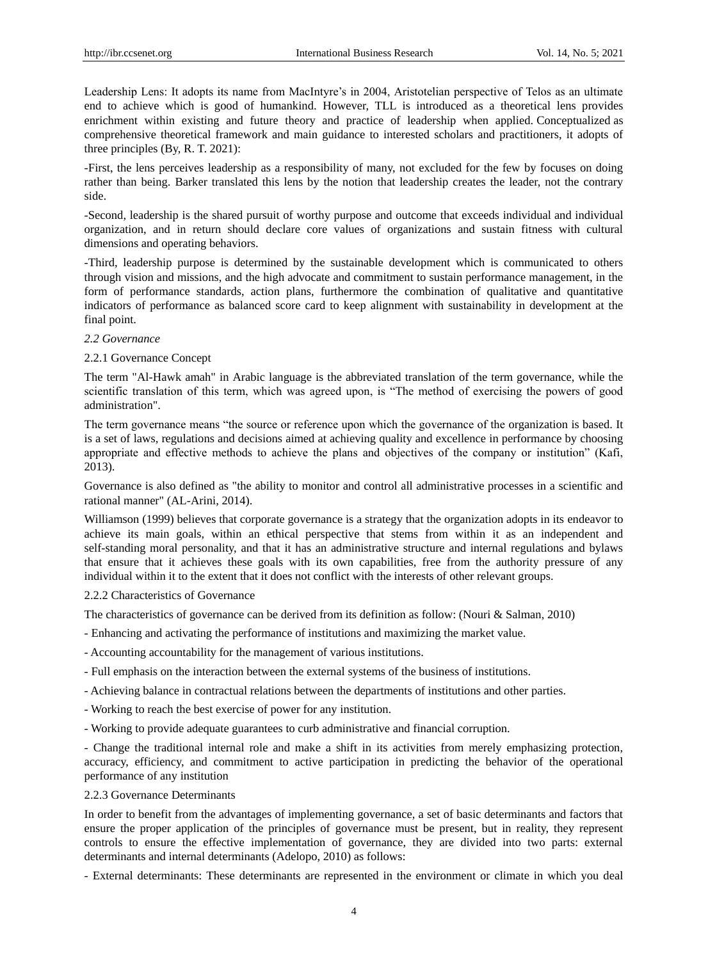Leadership Lens: It adopts its name from MacIntyre's in 2004, Aristotelian perspective of Telos as an ultimate end to achieve which is good of humankind. However, TLL is introduced as a theoretical lens provides enrichment within existing and future theory and practice of leadership when applied. Conceptualized as comprehensive theoretical framework and main guidance to interested scholars and practitioners, it adopts of three principles (By, R. T. 2021):

-First, the lens perceives leadership as a responsibility of many, not excluded for the few by focuses on doing rather than being. Barker translated this lens by the notion that leadership creates the leader, not the contrary side.

-Second, leadership is the shared pursuit of worthy purpose and outcome that exceeds individual and individual organization, and in return should declare core values of organizations and sustain fitness with cultural dimensions and operating behaviors.

-Third, leadership purpose is determined by the sustainable development which is communicated to others through vision and missions, and the high advocate and commitment to sustain performance management, in the form of performance standards, action plans, furthermore the combination of qualitative and quantitative indicators of performance as balanced score card to keep alignment with sustainability in development at the final point.

#### *2.2 Governance*

#### 2.2.1 Governance Concept

The term "Al-Hawk amah" in Arabic language is the abbreviated translation of the term governance, while the scientific translation of this term, which was agreed upon, is "The method of exercising the powers of good administration".

The term governance means "the source or reference upon which the governance of the organization is based. It is a set of laws, regulations and decisions aimed at achieving quality and excellence in performance by choosing appropriate and effective methods to achieve the plans and objectives of the company or institution" (Kafi, 2013).

Governance is also defined as "the ability to monitor and control all administrative processes in a scientific and rational manner" (AL-Arini, 2014).

Williamson (1999) believes that corporate governance is a strategy that the organization adopts in its endeavor to achieve its main goals, within an ethical perspective that stems from within it as an independent and self-standing moral personality, and that it has an administrative structure and internal regulations and bylaws that ensure that it achieves these goals with its own capabilities, free from the authority pressure of any individual within it to the extent that it does not conflict with the interests of other relevant groups.

#### 2.2.2 Characteristics of Governance

The characteristics of governance can be derived from its definition as follow: (Nouri & Salman, 2010)

- Enhancing and activating the performance of institutions and maximizing the market value.
- Accounting accountability for the management of various institutions.
- Full emphasis on the interaction between the external systems of the business of institutions.
- Achieving balance in contractual relations between the departments of institutions and other parties.
- Working to reach the best exercise of power for any institution.
- Working to provide adequate guarantees to curb administrative and financial corruption.

- Change the traditional internal role and make a shift in its activities from merely emphasizing protection, accuracy, efficiency, and commitment to active participation in predicting the behavior of the operational performance of any institution

#### 2.2.3 Governance Determinants

In order to benefit from the advantages of implementing governance, a set of basic determinants and factors that ensure the proper application of the principles of governance must be present, but in reality, they represent controls to ensure the effective implementation of governance, they are divided into two parts: external determinants and internal determinants (Adelopo, 2010) as follows:

- External determinants: These determinants are represented in the environment or climate in which you deal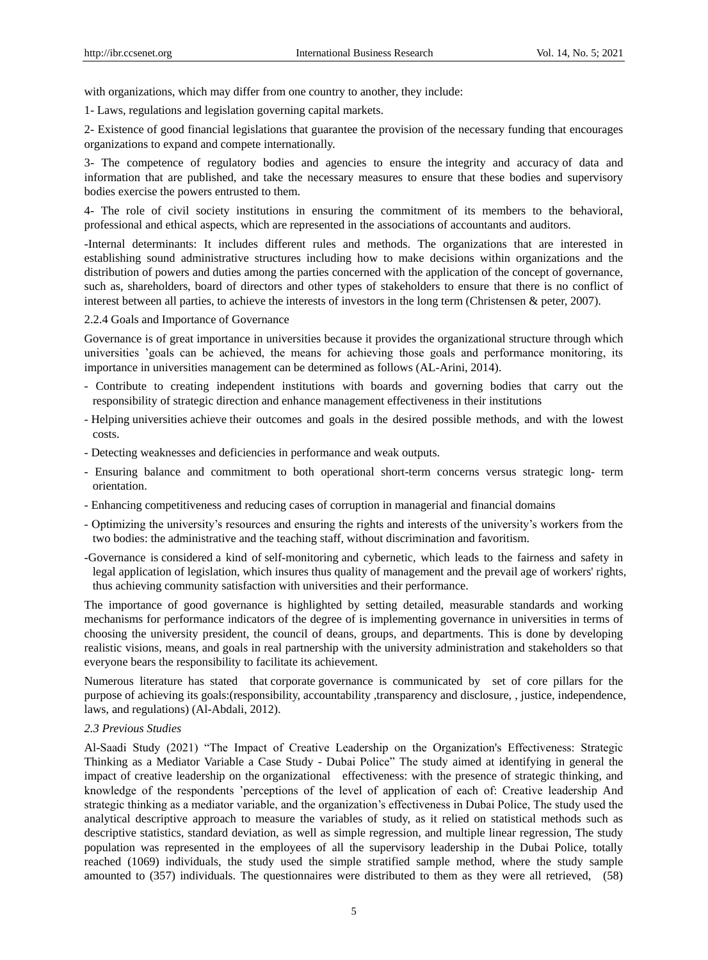with organizations, which may differ from one country to another, they include:

1- Laws, regulations and legislation governing capital markets.

2- Existence of good financial legislations that guarantee the provision of the necessary funding that encourages organizations to expand and compete internationally.

3- The competence of regulatory bodies and agencies to ensure the integrity and accuracy of data and information that are published, and take the necessary measures to ensure that these bodies and supervisory bodies exercise the powers entrusted to them.

4- The role of civil society institutions in ensuring the commitment of its members to the behavioral, professional and ethical aspects, which are represented in the associations of accountants and auditors.

-Internal determinants: It includes different rules and methods. The organizations that are interested in establishing sound administrative structures including how to make decisions within organizations and the distribution of powers and duties among the parties concerned with the application of the concept of governance, such as, shareholders, board of directors and other types of stakeholders to ensure that there is no conflict of interest between all parties, to achieve the interests of investors in the long term (Christensen & peter, 2007).

2.2.4 Goals and Importance of Governance

Governance is of great importance in universities because it provides the organizational structure through which universities 'goals can be achieved, the means for achieving those goals and performance monitoring, its importance in universities management can be determined as follows (AL-Arini, 2014).

- Contribute to creating independent institutions with boards and governing bodies that carry out the responsibility of strategic direction and enhance management effectiveness in their institutions
- Helping universities achieve their outcomes and goals in the desired possible methods, and with the lowest costs.
- Detecting weaknesses and deficiencies in performance and weak outputs.
- Ensuring balance and commitment to both operational short-term concerns versus strategic long- term orientation.
- Enhancing competitiveness and reducing cases of corruption in managerial and financial domains
- Optimizing the university's resources and ensuring the rights and interests of the university's workers from the two bodies: the administrative and the teaching staff, without discrimination and favoritism.
- -Governance is considered a kind of self-monitoring and cybernetic, which leads to the fairness and safety in legal application of legislation, which insures thus quality of management and the prevail age of workers' rights, thus achieving community satisfaction with universities and their performance.

The importance of good governance is highlighted by setting detailed, measurable standards and working mechanisms for performance indicators of the degree of is implementing governance in universities in terms of choosing the university president, the council of deans, groups, and departments. This is done by developing realistic visions, means, and goals in real partnership with the university administration and stakeholders so that everyone bears the responsibility to facilitate its achievement.

Numerous literature has stated that corporate governance is communicated by set of core pillars for the purpose of achieving its goals:(responsibility, accountability ,transparency and disclosure, , justice, independence, laws, and regulations) (Al-Abdali, 2012).

#### *2.3 Previous Studies*

Al-Saadi Study (2021) "The Impact of Creative Leadership on the Organization's Effectiveness: Strategic Thinking as a Mediator Variable a Case Study - Dubai Police" The study aimed at identifying in general the impact of creative leadership on the organizational effectiveness: with the presence of strategic thinking, and knowledge of the respondents 'perceptions of the level of application of each of: Creative leadership And strategic thinking as a mediator variable, and the organization's effectiveness in Dubai Police, The study used the analytical descriptive approach to measure the variables of study, as it relied on statistical methods such as descriptive statistics, standard deviation, as well as simple regression, and multiple linear regression, The study population was represented in the employees of all the supervisory leadership in the Dubai Police, totally reached (1069) individuals, the study used the simple stratified sample method, where the study sample amounted to (357) individuals. The questionnaires were distributed to them as they were all retrieved, (58)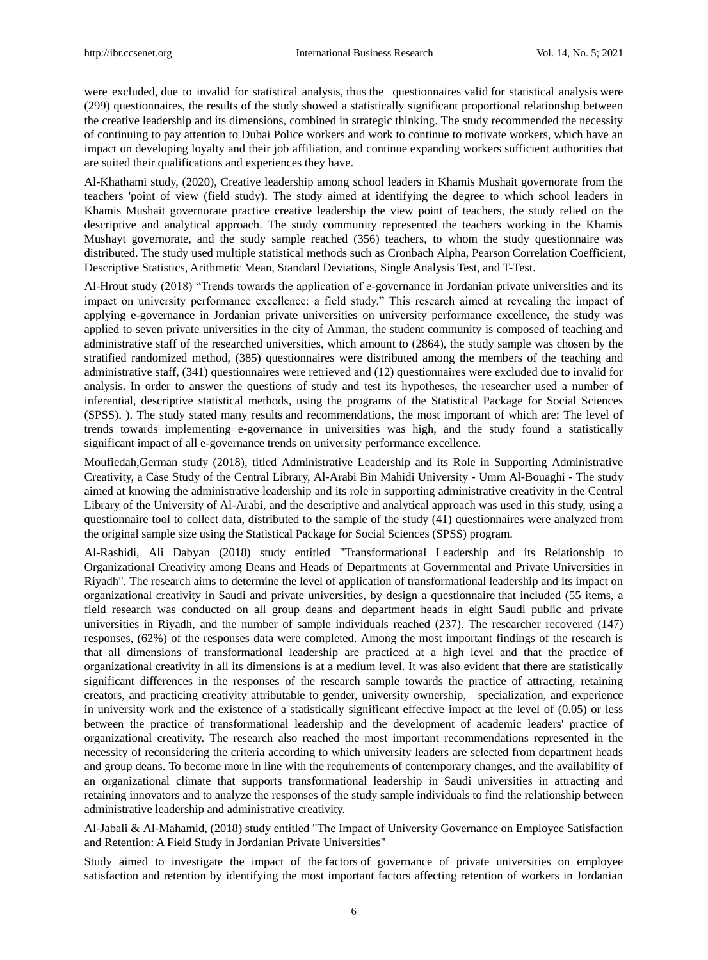were excluded, due to invalid for statistical analysis, thus the questionnaires valid for statistical analysis were (299) questionnaires, the results of the study showed a statistically significant proportional relationship between the creative leadership and its dimensions, combined in strategic thinking. The study recommended the necessity of continuing to pay attention to Dubai Police workers and work to continue to motivate workers, which have an impact on developing loyalty and their job affiliation, and continue expanding workers sufficient authorities that are suited their qualifications and experiences they have.

Al-Khathami study, (2020), Creative leadership among school leaders in Khamis Mushait governorate from the teachers 'point of view (field study). The study aimed at identifying the degree to which school leaders in Khamis Mushait governorate practice creative leadership the view point of teachers, the study relied on the descriptive and analytical approach. The study community represented the teachers working in the Khamis Mushayt governorate, and the study sample reached (356) teachers, to whom the study questionnaire was distributed. The study used multiple statistical methods such as Cronbach Alpha, Pearson Correlation Coefficient, Descriptive Statistics, Arithmetic Mean, Standard Deviations, Single Analysis Test, and T-Test.

Al-Hrout study (2018) "Trends towards the application of e-governance in Jordanian private universities and its impact on university performance excellence: a field study." This research aimed at revealing the impact of applying e-governance in Jordanian private universities on university performance excellence, the study was applied to seven private universities in the city of Amman, the student community is composed of teaching and administrative staff of the researched universities, which amount to (2864), the study sample was chosen by the stratified randomized method, (385) questionnaires were distributed among the members of the teaching and administrative staff, (341) questionnaires were retrieved and (12) questionnaires were excluded due to invalid for analysis. In order to answer the questions of study and test its hypotheses, the researcher used a number of inferential, descriptive statistical methods, using the programs of the Statistical Package for Social Sciences (SPSS). ). The study stated many results and recommendations, the most important of which are: The level of trends towards implementing e-governance in universities was high, and the study found a statistically significant impact of all e-governance trends on university performance excellence.

Moufiedah,German study (2018), titled Administrative Leadership and its Role in Supporting Administrative Creativity, a Case Study of the Central Library, Al-Arabi Bin Mahidi University - Umm Al-Bouaghi - The study aimed at knowing the administrative leadership and its role in supporting administrative creativity in the Central Library of the University of Al-Arabi, and the descriptive and analytical approach was used in this study, using a questionnaire tool to collect data, distributed to the sample of the study (41) questionnaires were analyzed from the original sample size using the Statistical Package for Social Sciences (SPSS) program.

Al-Rashidi, Ali Dabyan (2018) study entitled "Transformational Leadership and its Relationship to Organizational Creativity among Deans and Heads of Departments at Governmental and Private Universities in Riyadh". The research aims to determine the level of application of transformational leadership and its impact on organizational creativity in Saudi and private universities, by design a questionnaire that included (55 items, a field research was conducted on all group deans and department heads in eight Saudi public and private universities in Riyadh, and the number of sample individuals reached (237). The researcher recovered (147) responses, (62%) of the responses data were completed. Among the most important findings of the research is that all dimensions of transformational leadership are practiced at a high level and that the practice of organizational creativity in all its dimensions is at a medium level. It was also evident that there are statistically significant differences in the responses of the research sample towards the practice of attracting, retaining creators, and practicing creativity attributable to gender, university ownership, specialization, and experience in university work and the existence of a statistically significant effective impact at the level of (0.05) or less between the practice of transformational leadership and the development of academic leaders' practice of organizational creativity. The research also reached the most important recommendations represented in the necessity of reconsidering the criteria according to which university leaders are selected from department heads and group deans. To become more in line with the requirements of contemporary changes, and the availability of an organizational climate that supports transformational leadership in Saudi universities in attracting and retaining innovators and to analyze the responses of the study sample individuals to find the relationship between administrative leadership and administrative creativity.

Al-Jabali & Al-Mahamid, (2018) study entitled "The Impact of University Governance on Employee Satisfaction and Retention: A Field Study in Jordanian Private Universities"

Study aimed to investigate the impact of the factors of governance of private universities on employee satisfaction and retention by identifying the most important factors affecting retention of workers in Jordanian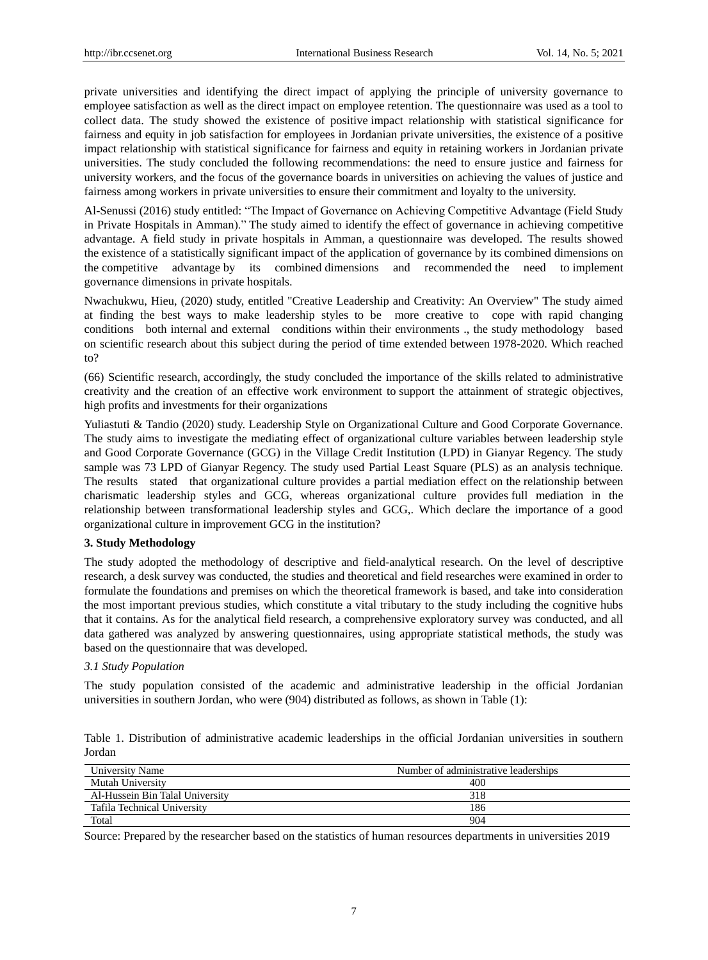private universities and identifying the direct impact of applying the principle of university governance to employee satisfaction as well as the direct impact on employee retention. The questionnaire was used as a tool to collect data. The study showed the existence of positive impact relationship with statistical significance for fairness and equity in job satisfaction for employees in Jordanian private universities, the existence of a positive impact relationship with statistical significance for fairness and equity in retaining workers in Jordanian private universities. The study concluded the following recommendations: the need to ensure justice and fairness for university workers, and the focus of the governance boards in universities on achieving the values of justice and fairness among workers in private universities to ensure their commitment and loyalty to the university.

Al-Senussi (2016) study entitled: "The Impact of Governance on Achieving Competitive Advantage (Field Study in Private Hospitals in Amman)." The study aimed to identify the effect of governance in achieving competitive advantage. A field study in private hospitals in Amman, a questionnaire was developed. The results showed the existence of a statistically significant impact of the application of governance by its combined dimensions on the competitive advantage by its combined dimensions and recommended the need to implement governance dimensions in private hospitals.

Nwachukwu, Hieu, (2020) study, entitled "Creative Leadership and Creativity: An Overview" The study aimed at finding the best ways to make leadership styles to be more creative to cope with rapid changing conditions both internal and external conditions within their environments ., the study methodology based on scientific research about this subject during the period of time extended between 1978-2020. Which reached to?

(66) Scientific research, accordingly, the study concluded the importance of the skills related to administrative creativity and the creation of an effective work environment to support the attainment of strategic objectives, high profits and investments for their organizations

Yuliastuti & Tandio (2020) study. Leadership Style on Organizational Culture and Good Corporate Governance. The study aims to investigate the mediating effect of organizational culture variables between leadership style and Good Corporate Governance (GCG) in the Village Credit Institution (LPD) in Gianyar Regency. The study sample was 73 LPD of Gianyar Regency. The study used Partial Least Square (PLS) as an analysis technique. The results stated that organizational culture provides a partial mediation effect on the relationship between charismatic leadership styles and GCG, whereas organizational culture provides full mediation in the relationship between transformational leadership styles and GCG,. Which declare the importance of a good organizational culture in improvement GCG in the institution?

## **3. Study Methodology**

The study adopted the methodology of descriptive and field-analytical research. On the level of descriptive research, a desk survey was conducted, the studies and theoretical and field researches were examined in order to formulate the foundations and premises on which the theoretical framework is based, and take into consideration the most important previous studies, which constitute a vital tributary to the study including the cognitive hubs that it contains. As for the analytical field research, a comprehensive exploratory survey was conducted, and all data gathered was analyzed by answering questionnaires, using appropriate statistical methods, the study was based on the questionnaire that was developed.

#### *3.1 Study Population*

The study population consisted of the academic and administrative leadership in the official Jordanian universities in southern Jordan, who were (904) distributed as follows, as shown in Table (1):

Table 1. Distribution of administrative academic leaderships in the official Jordanian universities in southern Jordan

| University Name                 | Number of administrative leaderships |
|---------------------------------|--------------------------------------|
| Mutah University                | 400                                  |
| Al-Hussein Bin Talal University | 318                                  |
| Tafila Technical University     | 186                                  |
| Total                           | 904                                  |

Source: Prepared by the researcher based on the statistics of human resources departments in universities 2019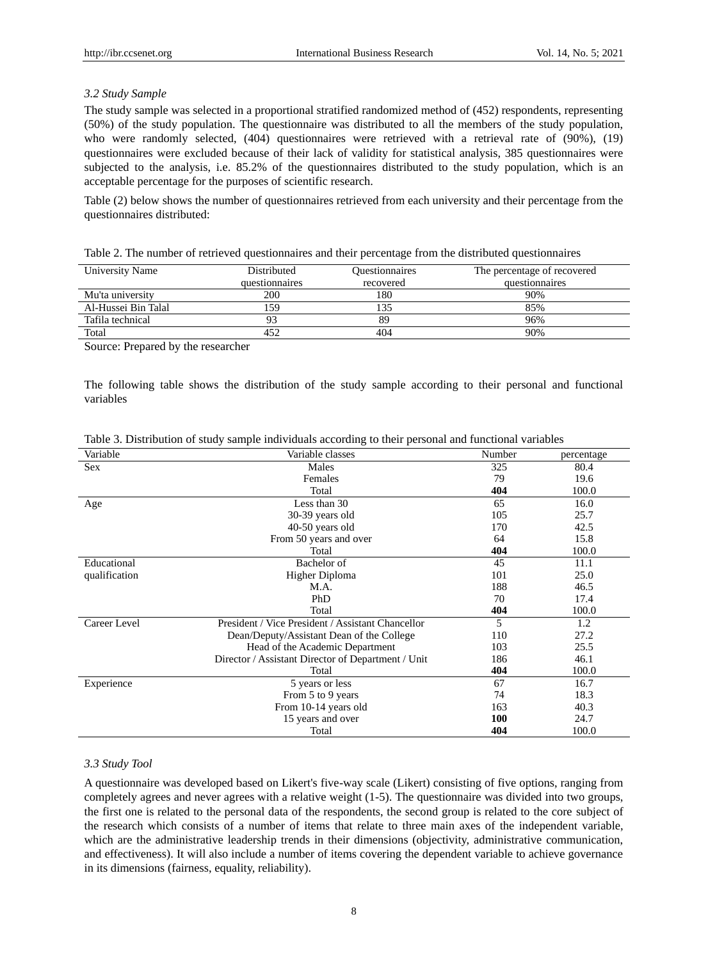#### *3.2 Study Sample*

The study sample was selected in a proportional stratified randomized method of (452) respondents, representing (50%) of the study population. The questionnaire was distributed to all the members of the study population, who were randomly selected, (404) questionnaires were retrieved with a retrieval rate of (90%), (19) questionnaires were excluded because of their lack of validity for statistical analysis, 385 questionnaires were subjected to the analysis, i.e. 85.2% of the questionnaires distributed to the study population, which is an acceptable percentage for the purposes of scientific research.

Table (2) below shows the number of questionnaires retrieved from each university and their percentage from the questionnaires distributed:

Table 2. The number of retrieved questionnaires and their percentage from the distributed questionnaires

| University Name     | Distributed    | <b>Ouestionnaires</b> | The percentage of recovered |
|---------------------|----------------|-----------------------|-----------------------------|
|                     | questionnaires | recovered             | questionnaires              |
| Mu'ta university    | 200            | 180                   | 90%                         |
| Al-Hussei Bin Talal | 59             |                       | 85%                         |
| Tafila technical    |                | 89                    | 96%                         |
| Total               | 452            | 404                   | 90%                         |

Source: Prepared by the researcher

The following table shows the distribution of the study sample according to their personal and functional variables

| Variable      | Variable classes                                   | Number | percentage |
|---------------|----------------------------------------------------|--------|------------|
| Sex           | Males                                              | 325    | 80.4       |
|               | Females                                            | 79     | 19.6       |
|               | Total                                              | 404    | 100.0      |
| Age           | Less than 30                                       | 65     | 16.0       |
|               | 30-39 years old                                    | 105    | 25.7       |
|               | 40-50 years old                                    | 170    | 42.5       |
|               | From 50 years and over                             | 64     | 15.8       |
|               | Total                                              | 404    | 100.0      |
| Educational   | Bachelor of                                        | 45     | 11.1       |
| qualification | Higher Diploma                                     | 101    | 25.0       |
|               | M.A.                                               | 188    | 46.5       |
|               | PhD                                                | 70     | 17.4       |
|               | Total                                              | 404    | 100.0      |
| Career Level  | President / Vice President / Assistant Chancellor  | 5      | 1.2        |
|               | Dean/Deputy/Assistant Dean of the College          | 110    | 27.2       |
|               | Head of the Academic Department                    | 103    | 25.5       |
|               | Director / Assistant Director of Department / Unit | 186    | 46.1       |
|               | Total                                              | 404    | 100.0      |
| Experience    | 5 years or less                                    | 67     | 16.7       |
|               | From 5 to 9 years                                  | 74     | 18.3       |
|               | From 10-14 years old                               | 163    | 40.3       |
|               | 15 years and over                                  | 100    | 24.7       |
|               | Total                                              | 404    | 100.0      |

Table 3. Distribution of study sample individuals according to their personal and functional variables

#### *3.3 Study Tool*

A questionnaire was developed based on Likert's five-way scale (Likert) consisting of five options, ranging from completely agrees and never agrees with a relative weight (1-5). The questionnaire was divided into two groups, the first one is related to the personal data of the respondents, the second group is related to the core subject of the research which consists of a number of items that relate to three main axes of the independent variable, which are the administrative leadership trends in their dimensions (objectivity, administrative communication, and effectiveness). It will also include a number of items covering the dependent variable to achieve governance in its dimensions (fairness, equality, reliability).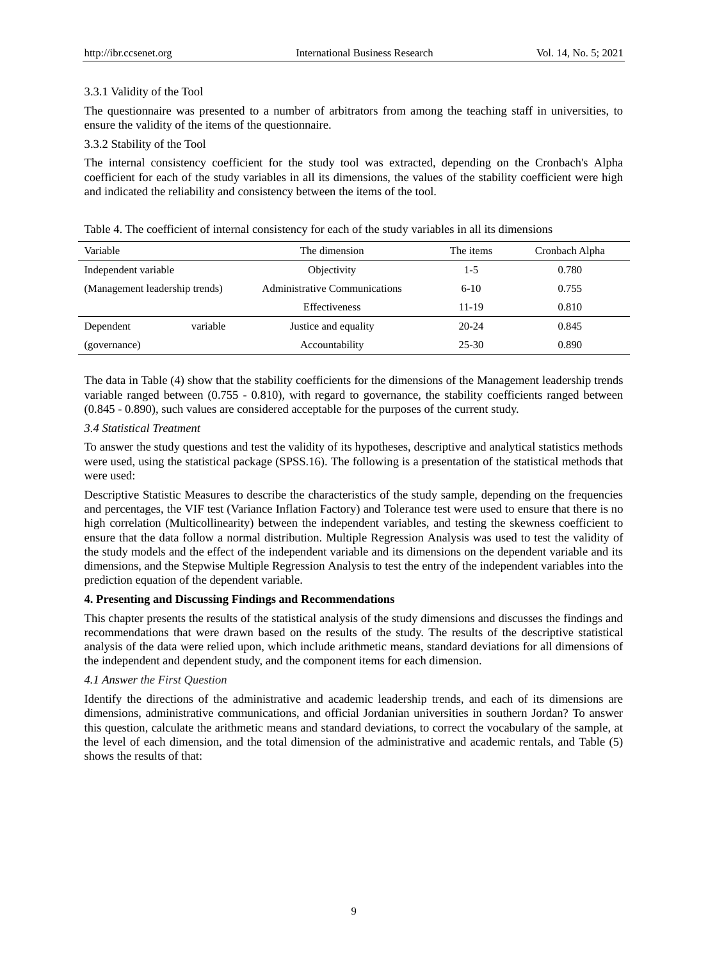#### 3.3.1 Validity of the Tool

The questionnaire was presented to a number of arbitrators from among the teaching staff in universities, to ensure the validity of the items of the questionnaire.

## 3.3.2 Stability of the Tool

The internal consistency coefficient for the study tool was extracted, depending on the Cronbach's Alpha coefficient for each of the study variables in all its dimensions, the values of the stability coefficient were high and indicated the reliability and consistency between the items of the tool.

| Table 4. The coefficient of internal consistency for each of the study variables in all its dimensions |  |
|--------------------------------------------------------------------------------------------------------|--|
|--------------------------------------------------------------------------------------------------------|--|

| Variable                       |          | The dimension                 | The items | Cronbach Alpha |
|--------------------------------|----------|-------------------------------|-----------|----------------|
| Independent variable           |          | Objectivity                   | $1 - 5$   | 0.780          |
| (Management leadership trends) |          | Administrative Communications | $6-10$    | 0.755          |
|                                |          | Effectiveness                 | $11 - 19$ | 0.810          |
| Dependent                      | variable | Justice and equality          | $20 - 24$ | 0.845          |
| (governance)                   |          | Accountability                | $25 - 30$ | 0.890          |

The data in Table (4) show that the stability coefficients for the dimensions of the Management leadership trends variable ranged between (0.755 - 0.810), with regard to governance, the stability coefficients ranged between (0.845 - 0.890), such values are considered acceptable for the purposes of the current study.

# *3.4 Statistical Treatment*

To answer the study questions and test the validity of its hypotheses, descriptive and analytical statistics methods were used, using the statistical package (SPSS.16). The following is a presentation of the statistical methods that were used:

Descriptive Statistic Measures to describe the characteristics of the study sample, depending on the frequencies and percentages, the VIF test (Variance Inflation Factory) and Tolerance test were used to ensure that there is no high correlation (Multicollinearity) between the independent variables, and testing the skewness coefficient to ensure that the data follow a normal distribution. Multiple Regression Analysis was used to test the validity of the study models and the effect of the independent variable and its dimensions on the dependent variable and its dimensions, and the Stepwise Multiple Regression Analysis to test the entry of the independent variables into the prediction equation of the dependent variable.

## **4. Presenting and Discussing Findings and Recommendations**

This chapter presents the results of the statistical analysis of the study dimensions and discusses the findings and recommendations that were drawn based on the results of the study. The results of the descriptive statistical analysis of the data were relied upon, which include arithmetic means, standard deviations for all dimensions of the independent and dependent study, and the component items for each dimension.

## *4.1 Answer the First Question*

Identify the directions of the administrative and academic leadership trends, and each of its dimensions are dimensions, administrative communications, and official Jordanian universities in southern Jordan? To answer this question, calculate the arithmetic means and standard deviations, to correct the vocabulary of the sample, at the level of each dimension, and the total dimension of the administrative and academic rentals, and Table (5) shows the results of that: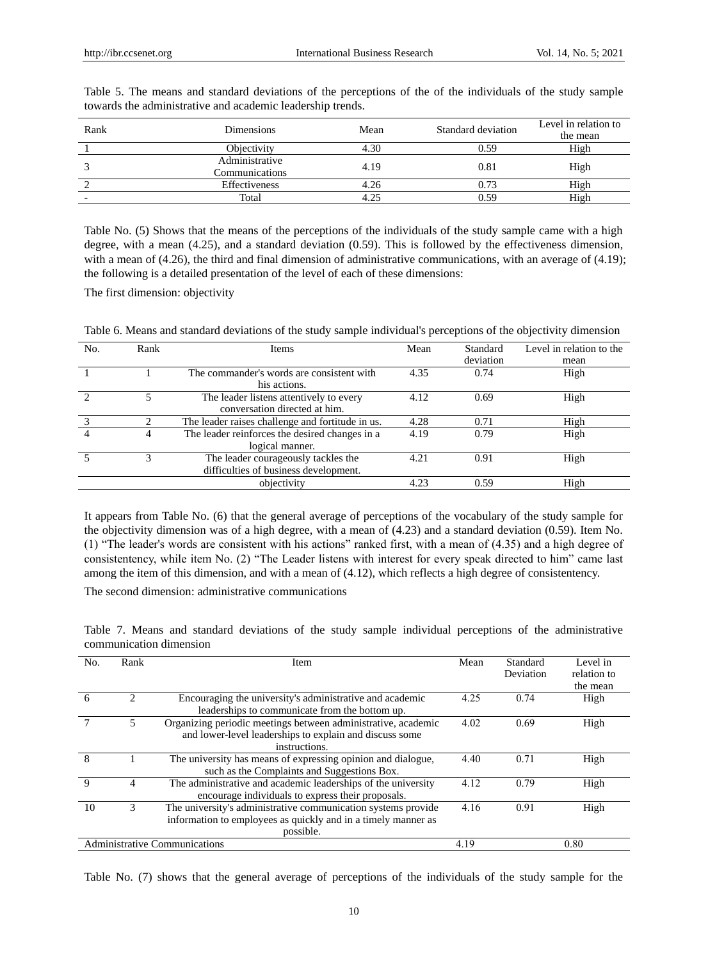| Rank                     | Dimensions     | Mean | Standard deviation | Level in relation to |  |
|--------------------------|----------------|------|--------------------|----------------------|--|
|                          |                |      |                    | the mean             |  |
|                          | Objectivity    | 4.30 | 0.59               | High                 |  |
|                          | Administrative | 4.19 | 0.81               | High                 |  |
|                          | Communications |      |                    |                      |  |
|                          | Effectiveness  | 4.26 | 0.73               | High                 |  |
| $\overline{\phantom{0}}$ | Total          | 4.25 | 0.59               | High                 |  |

Table 5. The means and standard deviations of the perceptions of the of the individuals of the study sample towards the administrative and academic leadership trends.

Table No. (5) Shows that the means of the perceptions of the individuals of the study sample came with a high degree, with a mean (4.25), and a standard deviation (0.59). This is followed by the effectiveness dimension, with a mean of (4.26), the third and final dimension of administrative communications, with an average of (4.19); the following is a detailed presentation of the level of each of these dimensions:

The first dimension: objectivity

| Table 6. Means and standard deviations of the study sample individual's perceptions of the objectivity dimension |  |  |  |
|------------------------------------------------------------------------------------------------------------------|--|--|--|
|                                                                                                                  |  |  |  |
|                                                                                                                  |  |  |  |

| No. | Rank | Items                                                                        | Mean | Standard<br>deviation | Level in relation to the<br>mean |
|-----|------|------------------------------------------------------------------------------|------|-----------------------|----------------------------------|
|     |      | The commander's words are consistent with<br>his actions.                    | 4.35 | 0.74                  | High                             |
|     |      | The leader listens attentively to every<br>conversation directed at him.     | 4.12 | 0.69                  | High                             |
|     |      | The leader raises challenge and fortitude in us.                             | 4.28 | 0.71                  | High                             |
|     | 4    | The leader reinforces the desired changes in a<br>logical manner.            | 4.19 | 0.79                  | High                             |
|     |      | The leader courageously tackles the<br>difficulties of business development. | 4.21 | 0.91                  | High                             |
|     |      | objectivity                                                                  | 4.23 | 0.59                  | High                             |

It appears from Table No. (6) that the general average of perceptions of the vocabulary of the study sample for the objectivity dimension was of a high degree, with a mean of (4.23) and a standard deviation (0.59). Item No. (1) "The leader's words are consistent with his actions" ranked first, with a mean of (4.35) and a high degree of consistentency, while item No. (2) "The Leader listens with interest for every speak directed to him" came last among the item of this dimension, and with a mean of (4.12), which reflects a high degree of consistentency.

The second dimension: administrative communications

Table 7. Means and standard deviations of the study sample individual perceptions of the administrative communication dimension

| No.          | Rank                        | Item                                                          | Mean | Standard  | Level in    |
|--------------|-----------------------------|---------------------------------------------------------------|------|-----------|-------------|
|              |                             |                                                               |      | Deviation | relation to |
|              |                             |                                                               |      |           | the mean    |
| 6            | $\mathcal{D}_{\mathcal{L}}$ | Encouraging the university's administrative and academic      | 4.25 | 0.74      | High        |
|              |                             | leaderships to communicate from the bottom up.                |      |           |             |
|              |                             | Organizing periodic meetings between administrative, academic | 4.02 | 0.69      | High        |
|              |                             | and lower-level leaderships to explain and discuss some       |      |           |             |
|              |                             | instructions.                                                 |      |           |             |
| 8            |                             | The university has means of expressing opinion and dialogue,  | 4.40 | 0.71      | High        |
|              |                             | such as the Complaints and Suggestions Box.                   |      |           |             |
| $\mathbf{Q}$ | 4                           | The administrative and academic leaderships of the university | 4.12 | 0.79      | High        |
|              |                             | encourage individuals to express their proposals.             |      |           |             |
| 10           | 3                           | The university's administrative communication systems provide | 4.16 | 0.91      | High        |
|              |                             | information to employees as quickly and in a timely manner as |      |           |             |
|              |                             | possible.                                                     |      |           |             |
|              |                             | Administrative Communications                                 | 4.19 |           | 0.80        |

Table No. (7) shows that the general average of perceptions of the individuals of the study sample for the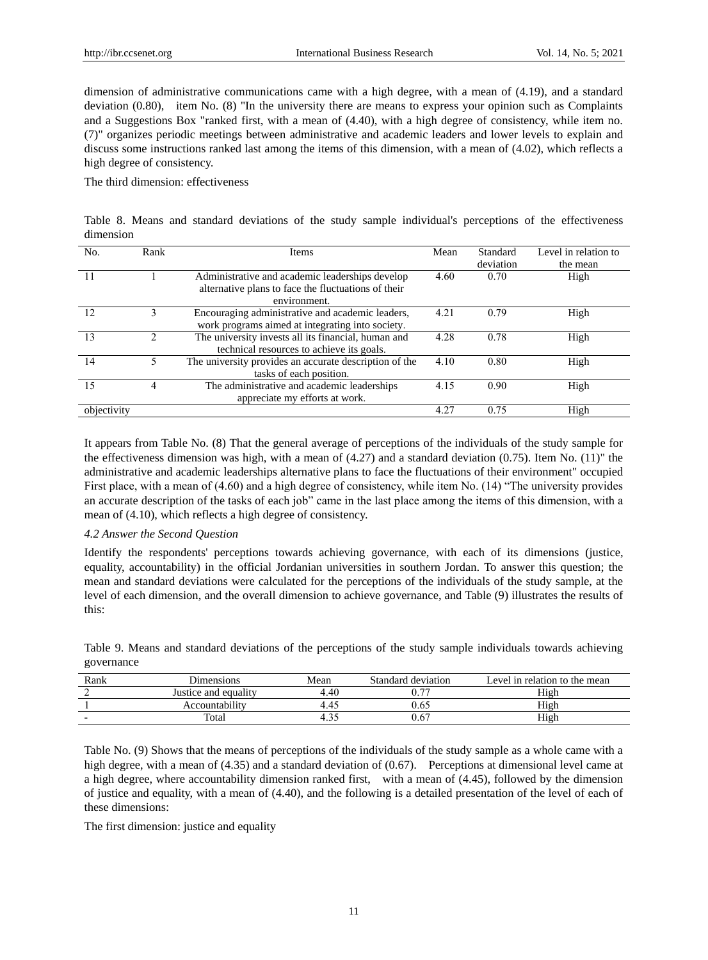dimension of administrative communications came with a high degree, with a mean of (4.19), and a standard deviation (0.80), item No. (8) "In the university there are means to express your opinion such as Complaints and a Suggestions Box "ranked first, with a mean of (4.40), with a high degree of consistency, while item no. (7)" organizes periodic meetings between administrative and academic leaders and lower levels to explain and discuss some instructions ranked last among the items of this dimension, with a mean of (4.02), which reflects a high degree of consistency.

The third dimension: effectiveness

|           |  |  |  |  |  | Table 8. Means and standard deviations of the study sample individual's perceptions of the effectiveness |
|-----------|--|--|--|--|--|----------------------------------------------------------------------------------------------------------|
| dimension |  |  |  |  |  |                                                                                                          |

| No.         | Rank | Items                                                                                                                  | Mean | Standard<br>deviation | Level in relation to<br>the mean |
|-------------|------|------------------------------------------------------------------------------------------------------------------------|------|-----------------------|----------------------------------|
|             |      | Administrative and academic leaderships develop<br>alternative plans to face the fluctuations of their<br>environment. | 4.60 | 0.70                  | High                             |
| 12          | ٩    | Encouraging administrative and academic leaders,<br>work programs aimed at integrating into society.                   | 4.21 | 0.79                  | High                             |
| 13          |      | The university invests all its financial, human and<br>technical resources to achieve its goals.                       | 4.28 | 0.78                  | High                             |
| 14          |      | The university provides an accurate description of the<br>tasks of each position.                                      | 4.10 | 0.80                  | High                             |
| 15          | 4    | The administrative and academic leaderships<br>appreciate my efforts at work.                                          | 4.15 | 0.90                  | High                             |
| objectivity |      |                                                                                                                        | 4.27 | 0.75                  | High                             |

It appears from Table No. (8) That the general average of perceptions of the individuals of the study sample for the effectiveness dimension was high, with a mean of  $(4.27)$  and a standard deviation  $(0.75)$ . Item No.  $(11)$ " the administrative and academic leaderships alternative plans to face the fluctuations of their environment" occupied First place, with a mean of (4.60) and a high degree of consistency, while item No. (14) "The university provides an accurate description of the tasks of each job" came in the last place among the items of this dimension, with a mean of (4.10), which reflects a high degree of consistency.

#### *4.2 Answer the Second Question*

Identify the respondents' perceptions towards achieving governance, with each of its dimensions (justice, equality, accountability) in the official Jordanian universities in southern Jordan. To answer this question; the mean and standard deviations were calculated for the perceptions of the individuals of the study sample, at the level of each dimension, and the overall dimension to achieve governance, and Table (9) illustrates the results of this:

Table 9. Means and standard deviations of the perceptions of the study sample individuals towards achieving governance

| Rank                     | <b>Jumensions</b>    | Mean | Standard deviation       | ∟evel in relation to the mean |
|--------------------------|----------------------|------|--------------------------|-------------------------------|
|                          | Justice and equality | 4.40 | $\overline{\phantom{a}}$ | High                          |
|                          | Accountability       | 4.4٠ | U.63                     | High                          |
| $\overline{\phantom{0}}$ | Total                |      | U.O                      | High                          |

Table No. (9) Shows that the means of perceptions of the individuals of the study sample as a whole came with a high degree, with a mean of (4.35) and a standard deviation of (0.67). Perceptions at dimensional level came at a high degree, where accountability dimension ranked first, with a mean of (4.45), followed by the dimension of justice and equality, with a mean of (4.40), and the following is a detailed presentation of the level of each of these dimensions:

The first dimension: justice and equality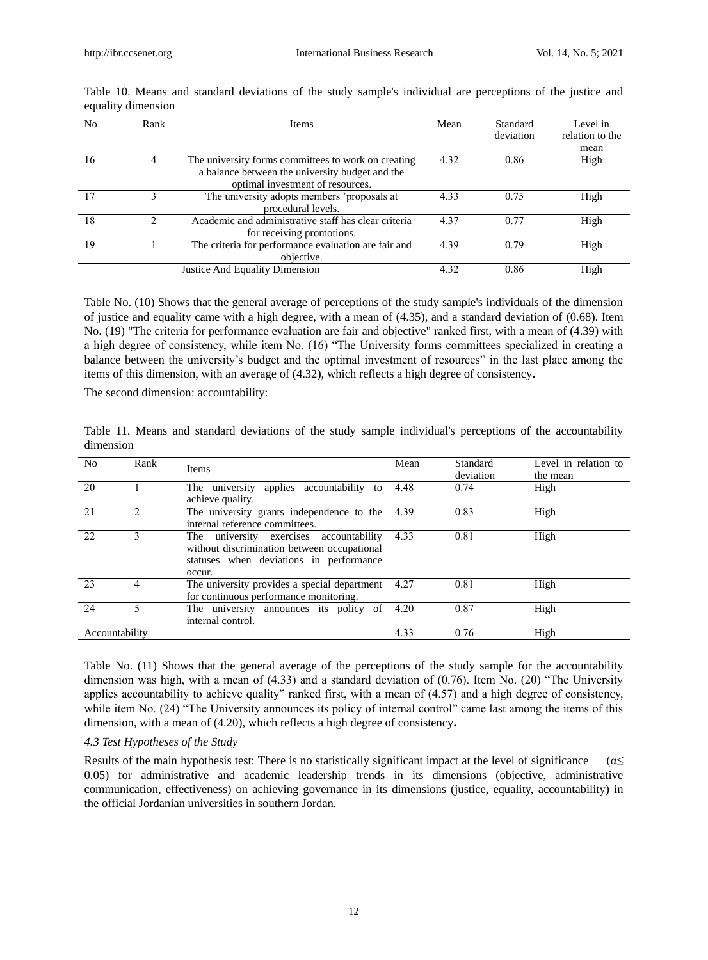| N <sub>0</sub> | Rank | <b>Items</b>                                                                                                                               | Mean | Standard<br>deviation | Level in<br>relation to the |
|----------------|------|--------------------------------------------------------------------------------------------------------------------------------------------|------|-----------------------|-----------------------------|
|                |      |                                                                                                                                            |      |                       | mean                        |
| 16             | 4    | The university forms committees to work on creating<br>a balance between the university budget and the<br>optimal investment of resources. | 4.32 | 0.86                  | High                        |
|                |      | The university adopts members 'proposals at<br>procedural levels.                                                                          | 4.33 | 0.75                  | High                        |
| 18             |      | Academic and administrative staff has clear criteria<br>for receiving promotions.                                                          | 4.37 | 0.77                  | High                        |
| 19             |      | The criteria for performance evaluation are fair and<br>objective.                                                                         | 4.39 | 0.79                  | High                        |
|                |      | Justice And Equality Dimension                                                                                                             | 4.32 | 0.86                  | High                        |

Table 10. Means and standard deviations of the study sample's individual are perceptions of the justice and equality dimension

Table No. (10) Shows that the general average of perceptions of the study sample's individuals of the dimension of justice and equality came with a high degree, with a mean of (4.35), and a standard deviation of (0.68). Item No. (19) "The criteria for performance evaluation are fair and objective" ranked first, with a mean of (4.39) with a high degree of consistency, while item No. (16) "The University forms committees specialized in creating a balance between the university's budget and the optimal investment of resources" in the last place among the items of this dimension, with an average of (4.32), which reflects a high degree of consistency**.**

The second dimension: accountability:

Table 11. Means and standard deviations of the study sample individual's perceptions of the accountability dimension

| N <sub>o</sub> | Rank | <b>Items</b>                                                                                                                                | Mean | Standard<br>deviation | Level in relation to<br>the mean |
|----------------|------|---------------------------------------------------------------------------------------------------------------------------------------------|------|-----------------------|----------------------------------|
| 20             |      | The university applies accountability to<br>achieve quality.                                                                                | 4.48 | 0.74                  | High                             |
| 21             |      | The university grants independence to the<br>internal reference committees.                                                                 | 4.39 | 0.83                  | High                             |
| 22             |      | The university exercises accountability<br>without discrimination between occupational<br>statuses when deviations in performance<br>occur. | 4.33 | 0.81                  | High                             |
| 23             | 4    | The university provides a special department<br>for continuous performance monitoring.                                                      | 4.27 | 0.81                  | High                             |
| 24             |      | The university announces its policy of<br>internal control.                                                                                 | 4.20 | 0.87                  | High                             |
| Accountability |      |                                                                                                                                             | 4.33 | 0.76                  | High                             |

Table No. (11) Shows that the general average of the perceptions of the study sample for the accountability dimension was high, with a mean of (4.33) and a standard deviation of (0.76). Item No. (20) "The University applies accountability to achieve quality" ranked first, with a mean of (4.57) and a high degree of consistency, while item No. (24) "The University announces its policy of internal control" came last among the items of this dimension, with a mean of (4.20), which reflects a high degree of consistency**.**

#### *4.3 Test Hypotheses of the Study*

Results of the main hypothesis test: There is no statistically significant impact at the level of significance ( $\alpha \leq$ 0.05) for administrative and academic leadership trends in its dimensions (objective, administrative communication, effectiveness) on achieving governance in its dimensions (justice, equality, accountability) in the official Jordanian universities in southern Jordan.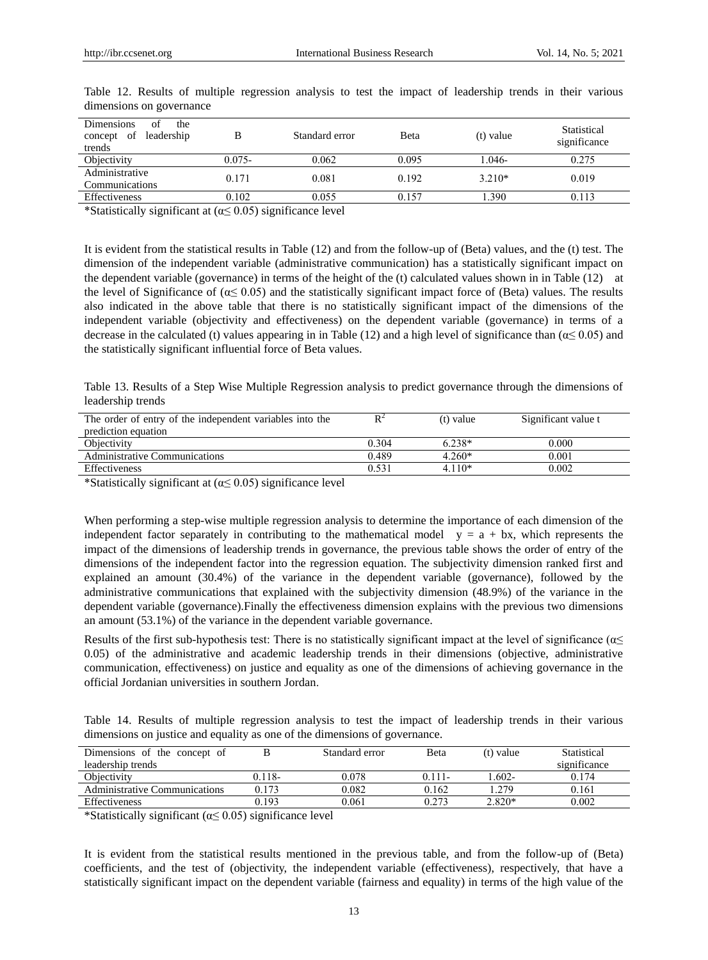| <b>Dimensions</b><br>of<br>the<br>leadership<br>of<br>concept<br>trends | в         | Standard error | Beta  | $(t)$ value | Statistical<br>significance |
|-------------------------------------------------------------------------|-----------|----------------|-------|-------------|-----------------------------|
| Objectivity                                                             | $0.075 -$ | 0.062          | 0.095 | 1.046-      | 0.275                       |
| Administrative<br>Communications                                        | 0.171     | 0.081          | 0.192 | $3.210*$    | 0.019                       |
| Effectiveness                                                           | 0.102     | 0.055          | 0.157 | .390        | 0.113                       |

Table 12. Results of multiple regression analysis to test the impact of leadership trends in their various dimensions on governance

\*Statistically significant at  $(\alpha \le 0.05)$  significance level

It is evident from the statistical results in Table (12) and from the follow-up of (Beta) values, and the (t) test. The dimension of the independent variable (administrative communication) has a statistically significant impact on the dependent variable (governance) in terms of the height of the (t) calculated values shown in in Table (12) at the level of Significance of ( $\alpha \leq 0.05$ ) and the statistically significant impact force of (Beta) values. The results also indicated in the above table that there is no statistically significant impact of the dimensions of the independent variable (objectivity and effectiveness) on the dependent variable (governance) in terms of a decrease in the calculated (t) values appearing in in Table (12) and a high level of significance than ( $\alpha \leq 0.05$ ) and the statistically significant influential force of Beta values.

Table 13. Results of a Step Wise Multiple Regression analysis to predict governance through the dimensions of leadership trends

| The order of entry of the independent variables into the |       | (t) value | Significant value t |
|----------------------------------------------------------|-------|-----------|---------------------|
| prediction equation                                      |       |           |                     |
| Objectivity                                              | 0.304 | $6.238*$  | 0.000               |
| <b>Administrative Communications</b>                     | 0.489 | $4.260*$  | 0.001               |
| <b>Effectiveness</b>                                     | 0.531 | $4.110*$  | 0.002               |

\*Statistically significant at ( $\alpha$   $\leq$  0.05) significance level

When performing a step-wise multiple regression analysis to determine the importance of each dimension of the independent factor separately in contributing to the mathematical model  $y = a + bx$ , which represents the impact of the dimensions of leadership trends in governance, the previous table shows the order of entry of the dimensions of the independent factor into the regression equation. The subjectivity dimension ranked first and explained an amount (30.4%) of the variance in the dependent variable (governance), followed by the administrative communications that explained with the subjectivity dimension (48.9%) of the variance in the dependent variable (governance).Finally the effectiveness dimension explains with the previous two dimensions an amount (53.1%) of the variance in the dependent variable governance.

Results of the first sub-hypothesis test: There is no statistically significant impact at the level of significance ( $\alpha \leq$ 0.05) of the administrative and academic leadership trends in their dimensions (objective, administrative communication, effectiveness) on justice and equality as one of the dimensions of achieving governance in the official Jordanian universities in southern Jordan.

Table 14. Results of multiple regression analysis to test the impact of leadership trends in their various dimensions on justice and equality as one of the dimensions of governance.

| Dimensions of the concept of  |        | Standard error | <b>B</b> eta | (t) value | Statistical  |
|-------------------------------|--------|----------------|--------------|-----------|--------------|
| leadership trends             |        |                |              |           | significance |
| Objectivity                   | 0.118- | 0.078          | $0.111 -$    | $.602 -$  | 0.174        |
| Administrative Communications | 0.173  | 0.082          | 0.162        | .279      | 0.161        |
| Effectiveness                 | 0.193  | 0.061          | 0.273        | $2.820*$  | 0.002        |

\*Statistically significant ( $\alpha \leq 0.05$ ) significance level

It is evident from the statistical results mentioned in the previous table, and from the follow-up of (Beta) coefficients, and the test of (objectivity, the independent variable (effectiveness), respectively, that have a statistically significant impact on the dependent variable (fairness and equality) in terms of the high value of the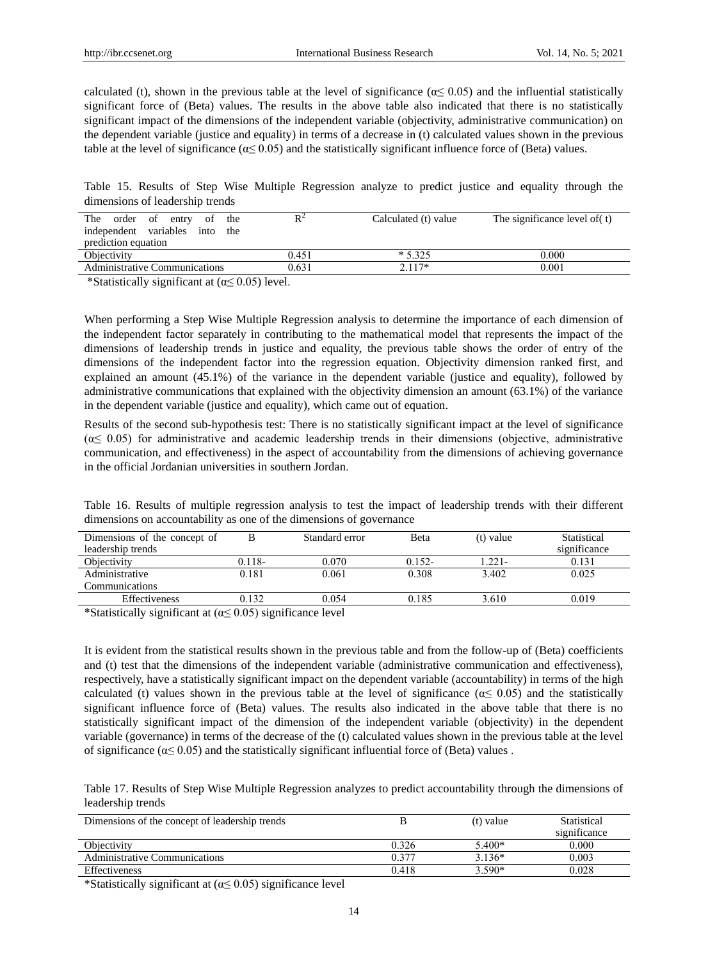calculated (t), shown in the previous table at the level of significance ( $\alpha \leq 0.05$ ) and the influential statistically significant force of (Beta) values. The results in the above table also indicated that there is no statistically significant impact of the dimensions of the independent variable (objectivity, administrative communication) on the dependent variable (justice and equality) in terms of a decrease in (t) calculated values shown in the previous table at the level of significance ( $\alpha \leq 0.05$ ) and the statistically significant influence force of (Beta) values.

Table 15. Results of Step Wise Multiple Regression analyze to predict justice and equality through the dimensions of leadership trends

| The<br>of<br>order<br>of the<br>entry |       | Calculated (t) value | The significance level of (t) |
|---------------------------------------|-------|----------------------|-------------------------------|
| independent variables<br>into<br>the  |       |                      |                               |
| prediction equation                   |       |                      |                               |
| Objectivity                           | 0.451 | $*5.325$             | 0.000                         |
| <b>Administrative Communications</b>  | 0.631 | $2.117*$             | 0.001                         |
|                                       |       |                      |                               |

\*Statistically significant at  $(\alpha \le 0.05)$  level.

When performing a Step Wise Multiple Regression analysis to determine the importance of each dimension of the independent factor separately in contributing to the mathematical model that represents the impact of the dimensions of leadership trends in justice and equality, the previous table shows the order of entry of the dimensions of the independent factor into the regression equation. Objectivity dimension ranked first, and explained an amount (45.1%) of the variance in the dependent variable (justice and equality), followed by administrative communications that explained with the objectivity dimension an amount (63.1%) of the variance in the dependent variable (justice and equality), which came out of equation.

Results of the second sub-hypothesis test: There is no statistically significant impact at the level of significance  $(\alpha \leq 0.05)$  for administrative and academic leadership trends in their dimensions (objective, administrative communication, and effectiveness) in the aspect of accountability from the dimensions of achieving governance in the official Jordanian universities in southern Jordan.

Table 16. Results of multiple regression analysis to test the impact of leadership trends with their different dimensions on accountability as one of the dimensions of governance

| Dimensions of the concept of |        | Standard error | <b>B</b> eta | $(t)$ value | Statistical  |
|------------------------------|--------|----------------|--------------|-------------|--------------|
| leadership trends            |        |                |              |             | significance |
| Objectivity                  | 0.118- | 0.070          | $0.152 -$    | 1.221-      | 0.131        |
| Administrative               | 0.181  | 0.061          | 0.308        | 3.402       | 0.025        |
| <b>Communications</b>        |        |                |              |             |              |
| Effectiveness                | 0.132  | 0.054          | 0.185        | 3.610       | 0.019        |
|                              | .<br>. |                |              |             |              |

\*Statistically significant at  $(\alpha \leq 0.05)$  significance level

It is evident from the statistical results shown in the previous table and from the follow-up of (Beta) coefficients and (t) test that the dimensions of the independent variable (administrative communication and effectiveness), respectively, have a statistically significant impact on the dependent variable (accountability) in terms of the high calculated (t) values shown in the previous table at the level of significance ( $\alpha \leq 0.05$ ) and the statistically significant influence force of (Beta) values. The results also indicated in the above table that there is no statistically significant impact of the dimension of the independent variable (objectivity) in the dependent variable (governance) in terms of the decrease of the (t) calculated values shown in the previous table at the level of significance ( $\alpha \leq 0.05$ ) and the statistically significant influential force of (Beta) values.

Table 17. Results of Step Wise Multiple Regression analyzes to predict accountability through the dimensions of leadership trends

| Dimensions of the concept of leadership trends |            | $(t)$ value | Statistical<br>significance |
|------------------------------------------------|------------|-------------|-----------------------------|
| Objectivity                                    | 0.326      | 5.400*      | 0.000                       |
| Administrative Communications                  | $0.37^{-}$ | $3.136*$    | 0.003                       |
| <b>Effectiveness</b>                           | 0.418      | $3.590*$    | 0.028                       |

\*Statistically significant at ( $\alpha$   $\leq$  0.05) significance level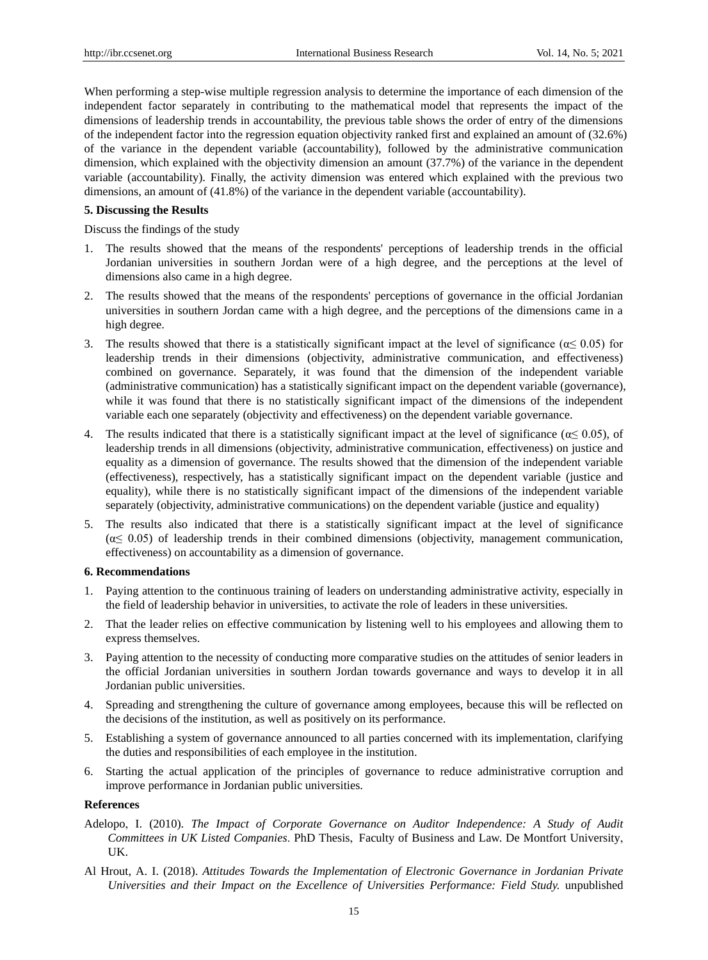When performing a step-wise multiple regression analysis to determine the importance of each dimension of the independent factor separately in contributing to the mathematical model that represents the impact of the dimensions of leadership trends in accountability, the previous table shows the order of entry of the dimensions of the independent factor into the regression equation objectivity ranked first and explained an amount of (32.6%) of the variance in the dependent variable (accountability), followed by the administrative communication dimension, which explained with the objectivity dimension an amount (37.7%) of the variance in the dependent variable (accountability). Finally, the activity dimension was entered which explained with the previous two dimensions, an amount of (41.8%) of the variance in the dependent variable (accountability).

#### **5. Discussing the Results**

Discuss the findings of the study

- 1. The results showed that the means of the respondents' perceptions of leadership trends in the official Jordanian universities in southern Jordan were of a high degree, and the perceptions at the level of dimensions also came in a high degree.
- 2. The results showed that the means of the respondents' perceptions of governance in the official Jordanian universities in southern Jordan came with a high degree, and the perceptions of the dimensions came in a high degree.
- 3. The results showed that there is a statistically significant impact at the level of significance ( $\alpha \le 0.05$ ) for leadership trends in their dimensions (objectivity, administrative communication, and effectiveness) combined on governance. Separately, it was found that the dimension of the independent variable (administrative communication) has a statistically significant impact on the dependent variable (governance), while it was found that there is no statistically significant impact of the dimensions of the independent variable each one separately (objectivity and effectiveness) on the dependent variable governance.
- 4. The results indicated that there is a statistically significant impact at the level of significance ( $\alpha \leq 0.05$ ), of leadership trends in all dimensions (objectivity, administrative communication, effectiveness) on justice and equality as a dimension of governance. The results showed that the dimension of the independent variable (effectiveness), respectively, has a statistically significant impact on the dependent variable (justice and equality), while there is no statistically significant impact of the dimensions of the independent variable separately (objectivity, administrative communications) on the dependent variable (justice and equality)
- 5. The results also indicated that there is a statistically significant impact at the level of significance  $(\alpha \leq 0.05)$  of leadership trends in their combined dimensions (objectivity, management communication, effectiveness) on accountability as a dimension of governance.

#### **6. Recommendations**

- 1. Paying attention to the continuous training of leaders on understanding administrative activity, especially in the field of leadership behavior in universities, to activate the role of leaders in these universities.
- 2. That the leader relies on effective communication by listening well to his employees and allowing them to express themselves.
- 3. Paying attention to the necessity of conducting more comparative studies on the attitudes of senior leaders in the official Jordanian universities in southern Jordan towards governance and ways to develop it in all Jordanian public universities.
- 4. Spreading and strengthening the culture of governance among employees, because this will be reflected on the decisions of the institution, as well as positively on its performance.
- 5. Establishing a system of governance announced to all parties concerned with its implementation, clarifying the duties and responsibilities of each employee in the institution.
- 6. Starting the actual application of the principles of governance to reduce administrative corruption and improve performance in Jordanian public universities.

## **References**

- Adelopo, I. (2010). *The Impact of Corporate Governance on Auditor Independence: A Study of Audit Committees in UK Listed Companies*. PhD Thesis, Faculty of Business and Law. De Montfort University, UK.
- Al Hrout, A. I. (2018). *Attitudes Towards the Implementation of Electronic Governance in Jordanian Private Universities and their Impact on the Excellence of Universities Performance: Field Study.* unpublished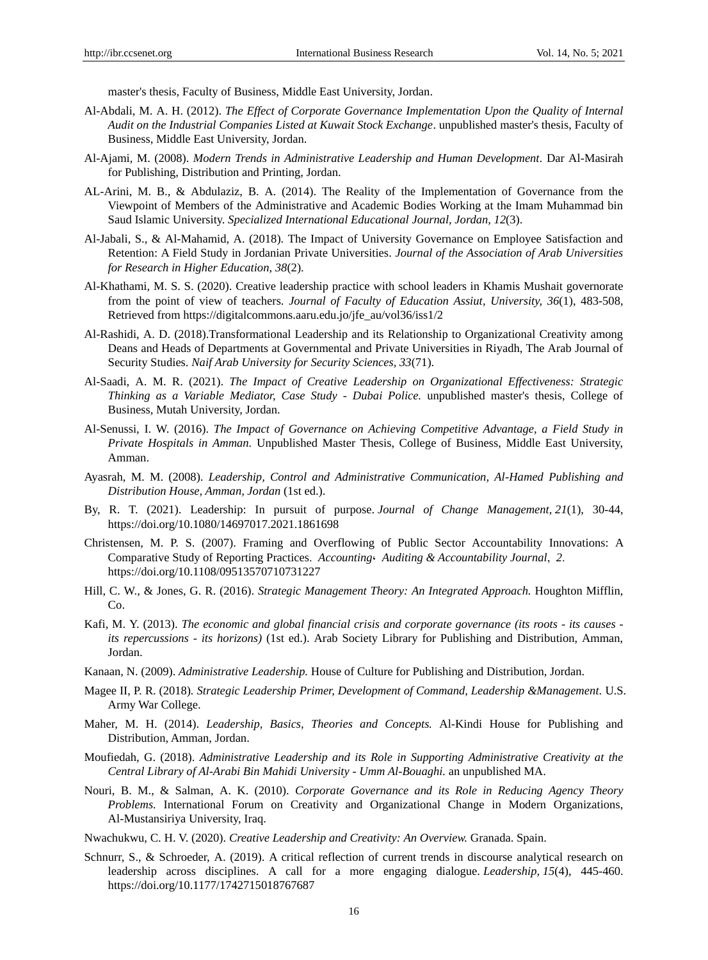master's thesis, Faculty of Business, Middle East University, Jordan.

- Al-Abdali, M. A. H. (2012). *The Effect of Corporate Governance Implementation Upon the Quality of Internal Audit on the Industrial Companies Listed at Kuwait Stock Exchange*. unpublished master's thesis, Faculty of Business, Middle East University, Jordan.
- Al-Ajami, M. (2008). *Modern Trends in Administrative Leadership and Human Development.* Dar Al-Masirah for Publishing, Distribution and Printing, Jordan.
- AL-Arini, M. B., & Abdulaziz, B. A. (2014). The Reality of the Implementation of Governance from the Viewpoint of Members of the Administrative and Academic Bodies Working at the Imam Muhammad bin Saud Islamic University. *Specialized International Educational Journal, Jordan, 12*(3).
- Al-Jabali, S., & Al-Mahamid, A. (2018). The Impact of University Governance on Employee Satisfaction and Retention: A Field Study in Jordanian Private Universities. *Journal of the Association of Arab Universities for Research in Higher Education, 38*(2).
- Al-Khathami, M. S. S. (2020). Creative leadership practice with school leaders in Khamis Mushait governorate from the point of view of teachers. *Journal of Faculty of Education Assiut, University, 36*(1), 483-508, Retrieved from https://digitalcommons.aaru.edu.jo/jfe\_au/vol36/iss1/2
- Al-Rashidi, A. D. (2018).Transformational Leadership and its Relationship to Organizational Creativity among Deans and Heads of Departments at Governmental and Private Universities in Riyadh, The Arab Journal of Security Studies. *Naif Arab University for Security Sciences, 33*(71).
- Al-Saadi, A. M. R. (2021). *The Impact of Creative Leadership on Organizational Effectiveness: Strategic Thinking as a Variable Mediator, Case Study - Dubai Police.* unpublished master's thesis, College of Business, Mutah University, Jordan.
- Al-Senussi, I. W. (2016). *The Impact of Governance on Achieving Competitive Advantage, a Field Study in Private Hospitals in Amman.* Unpublished Master Thesis, College of Business, Middle East University, Amman.
- Ayasrah, M. M. (2008). *Leadership, Control and Administrative Communication, Al-Hamed Publishing and Distribution House, Amman, Jordan* (1st ed.).
- By, R. T. (2021). Leadership: In pursuit of purpose. *Journal of Change Management, 21*(1), 30-44, <https://doi.org/10.1080/14697017.2021.1861698>
- Christensen, M. P. S. (2007). Framing and Overflowing of Public Sector Accountability Innovations: A Comparative Study of Reporting Practices. *Accounting*، *Auditing & Accountability Journal*, *2*. https://doi.org/10.1108/09513570710731227
- Hill, C. W., & Jones, G. R. (2016). *Strategic Management Theory: An Integrated Approach.* Houghton Mifflin, Co.
- Kafi, M. Y. (2013). *The economic and global financial crisis and corporate governance (its roots - its causes its repercussions - its horizons)* (1st ed.). Arab Society Library for Publishing and Distribution, Amman, Jordan.
- Kanaan, N. (2009). *Administrative Leadership.* House of Culture for Publishing and Distribution, Jordan.
- Magee II, P. R. (2018)*. Strategic Leadership Primer, Development of Command, Leadership &Management.* U.S. Army War College.
- Maher, M. H. (2014). *Leadership, Basics, Theories and Concepts.* Al-Kindi House for Publishing and Distribution, Amman, Jordan.
- Moufiedah, G. (2018). *Administrative Leadership and its Role in Supporting Administrative Creativity at the Central Library of Al-Arabi Bin Mahidi University - Umm Al-Bouaghi.* an unpublished MA.
- Nouri, B. M., & Salman, A. K. (2010). *Corporate Governance and its Role in Reducing Agency Theory Problems.* International Forum on Creativity and Organizational Change in Modern Organizations, Al-Mustansiriya University, Iraq.
- Nwachukwu, C. H. V. (2020). *Creative Leadership and Creativity: An Overview.* Granada. Spain.
- Schnurr, S., & Schroeder, A. (2019). A critical reflection of current trends in discourse analytical research on leadership across disciplines. A call for a more engaging dialogue. *Leadership, 15*(4), 445-460. [https://doi.org/10.1177/1742715018767687](https://doi.org/10.1177%2F1742715018767687)